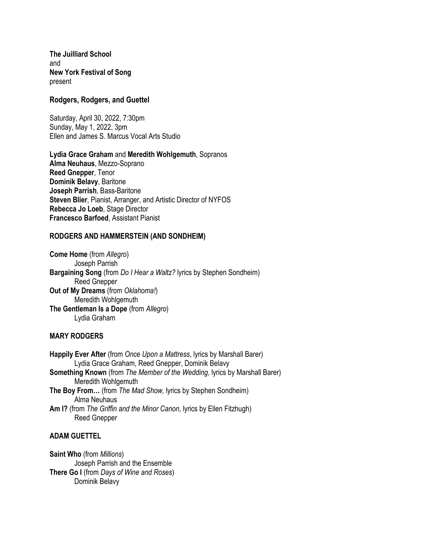**The Juilliard School** and **New York Festival of Song** present

# **Rodgers, Rodgers, and Guettel**

Saturday, April 30, 2022, 7:30pm Sunday, May 1, 2022, 3pm Ellen and James S. Marcus Vocal Arts Studio

**Lydia Grace Graham** and **Meredith Wohlgemuth**, Sopranos **Alma Neuhaus**, Mezzo-Soprano **Reed Gnepper**, Tenor **Dominik Belavy**, Baritone **Joseph Parrish**, Bass-Baritone **Steven Blier**, Pianist, Arranger, and Artistic Director of NYFOS **Rebecca Jo Loeb**, Stage Director **Francesco Barfoed**, Assistant Pianist

## **RODGERS AND HAMMERSTEIN (AND SONDHEIM)**

**Come Home** (from *Allegro*) Joseph Parrish **Bargaining Song** (from *Do I Hear a Waltz?* lyrics by Stephen Sondheim) Reed Gnepper **Out of My Dreams** (from *Oklahoma!*) Meredith Wohlgemuth **The Gentleman Is a Dope** (from *Allegro*) Lydia Graham

## **MARY RODGERS**

**Happily Ever After** (from *Once Upon a Mattress*, lyrics by Marshall Barer) Lydia Grace Graham, Reed Gnepper, Dominik Belavy **Something Known** (from *The Member of the Wedding*, lyrics by Marshall Barer) Meredith Wohlgemuth **The Boy From…** (from *The Mad Show,* lyrics by Stephen Sondheim) Alma Neuhaus **Am I?** (from *The Griffin and the Minor Canon*, lyrics by Ellen Fitzhugh) Reed Gnepper

# **ADAM GUETTEL**

**Saint Who** (from *Millions*) Joseph Parrish and the Ensemble **There Go I** (from *Days of Wine and Roses*) Dominik Belavy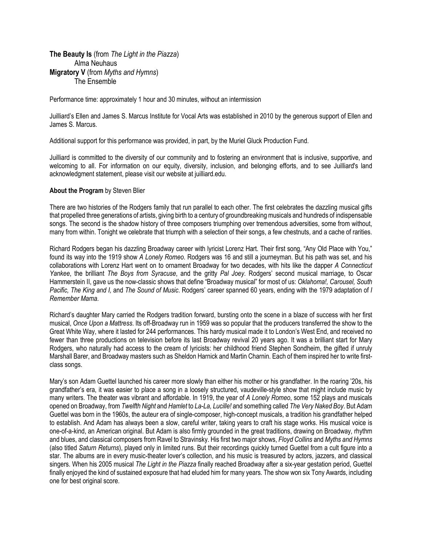## **The Beauty Is** (from *The Light in the Piazza*) Alma Neuhaus **Migratory V** (from *Myths and Hymns*) The Ensemble

Performance time: approximately 1 hour and 30 minutes, without an intermission

Juilliard's Ellen and James S. Marcus Institute for Vocal Arts was established in 2010 by the generous support of Ellen and James S. Marcus.

Additional support for this performance was provided, in part, by the Muriel Gluck Production Fund.

Juilliard is committed to the diversity of our community and to fostering an environment that is inclusive, supportive, and welcoming to all. For information on our equity, diversity, inclusion, and belonging efforts, and to see Juilliard's land acknowledgment statement, please visit our website at juilliard.edu.

### **About the Program** by Steven Blier

There are two histories of the Rodgers family that run parallel to each other. The first celebrates the dazzling musical gifts that propelled three generations of artists, giving birth to a century of groundbreaking musicals and hundreds of indispensable songs. The second is the shadow history of three composers triumphing over tremendous adversities, some from without, many from within. Tonight we celebrate that triumph with a selection of their songs, a few chestnuts, and a cache of rarities.

Richard Rodgers began his dazzling Broadway career with lyricist Lorenz Hart. Their first song, "Any Old Place with You," found its way into the 1919 show *A Lonely Romeo*. Rodgers was 16 and still a journeyman. But his path was set, and his collaborations with Lorenz Hart went on to ornament Broadway for two decades, with hits like the dapper *A Connecticut Yankee*, the brilliant *The Boys from Syracuse*, and the gritty *Pal Joey*. Rodgers' second musical marriage, to Oscar Hammerstein II, gave us the now-classic shows that define "Broadway musical" for most of us: *Oklahoma!, Carousel, South Pacific, The King and I,* and *The Sound of Music*. Rodgers' career spanned 60 years, ending with the 1979 adaptation of *I Remember Mama*.

Richard's daughter Mary carried the Rodgers tradition forward, bursting onto the scene in a blaze of success with her first musical, *Once Upon a Mattress*. Its off-Broadway run in 1959 was so popular that the producers transferred the show to the Great White Way, where it lasted for 244 performances. This hardy musical made it to London's West End, and received no fewer than three productions on television before its last Broadway revival 20 years ago. It was a brilliant start for Mary Rodgers, who naturally had access to the cream of lyricists: her childhood friend Stephen Sondheim, the gifted if unruly Marshall Barer, and Broadway masters such as Sheldon Harnick and Martin Charnin. Each of them inspired her to write firstclass songs.

Mary's son Adam Guettel launched his career more slowly than either his mother or his grandfather. In the roaring '20s, his grandfather's era, it was easier to place a song in a loosely structured, vaudeville-style show that might include music by many writers. The theater was vibrant and affordable. In 1919, the year of *A Lonely Romeo*, some 152 plays and musicals opened on Broadway, from *Twelfth Night* and *Hamlet* to *La-La, Lucille!* and something called *The Very Naked Boy*. But Adam Guettel was born in the 1960s, the auteur era of single-composer, high-concept musicals, a tradition his grandfather helped to establish. And Adam has always been a slow, careful writer, taking years to craft his stage works. His musical voice is one-of-a-kind, an American original. But Adam is also firmly grounded in the great traditions, drawing on Broadway, rhythm and blues, and classical composers from Ravel to Stravinsky. His first two major shows, *Floyd Collins* and *Myths and Hymns* (also titled *Saturn Returns*), played only in limited runs. But their recordings quickly turned Guettel from a cult figure into a star. The albums are in every music-theater lover's collection, and his music is treasured by actors, jazzers, and classical singers. When his 2005 musical *The Light in the Piazza* finally reached Broadway after a six-year gestation period, Guettel finally enjoyed the kind of sustained exposure that had eluded him for many years. The show won six Tony Awards, including one for best original score.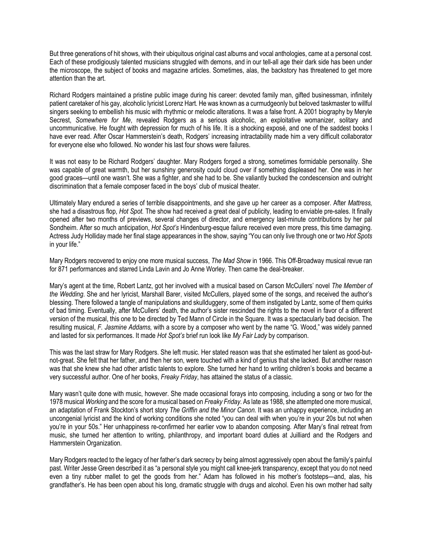But three generations of hit shows, with their ubiquitous original cast albums and vocal anthologies, came at a personal cost. Each of these prodigiously talented musicians struggled with demons, and in our tell-all age their dark side has been under the microscope, the subject of books and magazine articles. Sometimes, alas, the backstory has threatened to get more attention than the art.

Richard Rodgers maintained a pristine public image during his career: devoted family man, gifted businessman, infinitely patient caretaker of his gay, alcoholic lyricist Lorenz Hart. He was known as a curmudgeonly but beloved taskmaster to willful singers seeking to embellish his music with rhythmic or melodic alterations. It was a false front. A 2001 biography by Meryle Secrest, *Somewhere for Me*, revealed Rodgers as a serious alcoholic, an exploitative womanizer, solitary and uncommunicative. He fought with depression for much of his life. It is a shocking exposé, and one of the saddest books I have ever read. After Oscar Hammerstein's death, Rodgers' increasing intractability made him a very difficult collaborator for everyone else who followed. No wonder his last four shows were failures.

It was not easy to be Richard Rodgers' daughter. Mary Rodgers forged a strong, sometimes formidable personality. She was capable of great warmth, but her sunshiny generosity could cloud over if something displeased her. One was in her good graces—until one wasn't. She was a fighter, and she had to be. She valiantly bucked the condescension and outright discrimination that a female composer faced in the boys' club of musical theater.

Ultimately Mary endured a series of terrible disappointments, and she gave up her career as a composer. After *Mattress,* she had a disastrous flop, *Hot Spot.* The show had received a great deal of publicity, leading to enviable pre-sales. It finally opened after two months of previews, several changes of director, and emergency last-minute contributions by her pal Sondheim. After so much anticipation, *Hot Spot's* Hindenburg-esque failure received even more press, this time damaging. Actress Judy Holliday made her final stage appearances in the show, saying "You can only live through one or two *Hot Spots* in your life."

Mary Rodgers recovered to enjoy one more musical success, *The Mad Show* in 1966. This Off-Broadway musical revue ran for 871 performances and starred Linda Lavin and Jo Anne Worley. Then came the deal-breaker.

Mary's agent at the time, Robert Lantz, got her involved with a musical based on Carson McCullers' novel *The Member of the Wedding*. She and her lyricist, Marshall Barer, visited McCullers, played some of the songs, and received the author's blessing. There followed a tangle of manipulations and skullduggery, some of them instigated by Lantz, some of them quirks of bad timing. Eventually, after McCullers' death, the author's sister rescinded the rights to the novel in favor of a different version of the musical, this one to be directed by Ted Mann of Circle in the Square. It was a spectacularly bad decision. The resulting musical, *F. Jasmine Addams,* with a score by a composer who went by the name "G. Wood," was widely panned and lasted for six performances. It made *Hot Spot's* brief run look like *My Fair Lady* by comparison.

This was the last straw for Mary Rodgers. She left music. Her stated reason was that she estimated her talent as good-butnot-great. She felt that her father, and then her son, were touched with a kind of genius that she lacked. But another reason was that she knew she had other artistic talents to explore. She turned her hand to writing children's books and became a very successful author. One of her books, *Freaky Friday*, has attained the status of a classic.

Mary wasn't quite done with music, however. She made occasional forays into composing, including a song or two for the 1978 musical *Working* and the score for a musical based on *Freaky Friday*. As late as 1988, she attempted one more musical, an adaptation of Frank Stockton's short story *The Griffin and the Minor Canon.* It was an unhappy experience, including an uncongenial lyricist and the kind of working conditions she noted "you can deal with when you're in your 20s but not when you're in your 50s." Her unhappiness re-confirmed her earlier vow to abandon composing. After Mary's final retreat from music, she turned her attention to writing, philanthropy, and important board duties at Juilliard and the Rodgers and Hammerstein Organization.

Mary Rodgers reacted to the legacy of her father's dark secrecy by being almost aggressively open about the family's painful past. Writer Jesse Green described it as "a personal style you might call knee-jerk transparency, except that you do not need even a tiny rubber mallet to get the goods from her." Adam has followed in his mother's footsteps—and, alas, his grandfather's. He has been open about his long, dramatic struggle with drugs and alcohol. Even his own mother had salty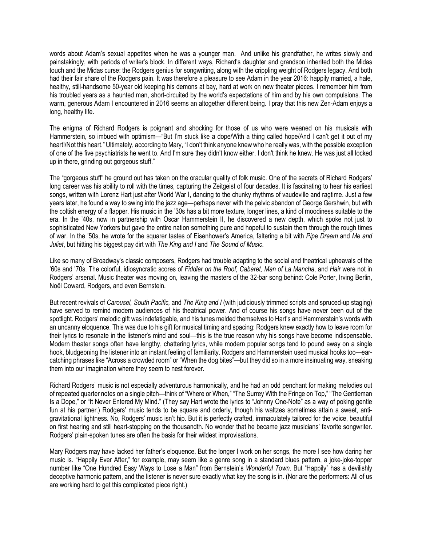words about Adam's sexual appetites when he was a younger man. And unlike his grandfather, he writes slowly and painstakingly, with periods of writer's block. In different ways, Richard's daughter and grandson inherited both the Midas touch and the Midas curse: the Rodgers genius for songwriting, along with the crippling weight of Rodgers legacy. And both had their fair share of the Rodgers pain. It was therefore a pleasure to see Adam in the year 2016: happily married, a hale, healthy, still-handsome 50-year old keeping his demons at bay, hard at work on new theater pieces. I remember him from his troubled years as a haunted man, short-circuited by the world's expectations of him and by his own compulsions. The warm, generous Adam I encountered in 2016 seems an altogether different being. I pray that this new Zen-Adam enjoys a long, healthy life.

The enigma of Richard Rodgers is poignant and shocking for those of us who were weaned on his musicals with Hammerstein, so imbued with optimism—"But I'm stuck like a dope/With a thing called hope/And I can't get it out of my heart!/Not this heart." Ultimately, according to Mary, "I don't think anyone knew who he really was, with the possible exception of one of the five psychiatrists he went to. And I'm sure they didn't know either. I don't think he knew. He was just all locked up in there, grinding out gorgeous stuff."

The "gorgeous stuff" he ground out has taken on the oracular quality of folk music. One of the secrets of Richard Rodgers' long career was his ability to roll with the times, capturing the Zeitgeist of four decades. It is fascinating to hear his earliest songs, written with Lorenz Hart just after World War I, dancing to the chunky rhythms of vaudeville and ragtime. Just a few years later, he found a way to swing into the jazz age—perhaps never with the pelvic abandon of George Gershwin, but with the coltish energy of a flapper. His music in the '30s has a bit more texture, longer lines, a kind of moodiness suitable to the era. In the '40s, now in partnership with Oscar Hammerstein II, he discovered a new depth, which spoke not just to sophisticated New Yorkers but gave the entire nation something pure and hopeful to sustain them through the rough times of war. In the '50s, he wrote for the squarer tastes of Eisenhower's America, faltering a bit with *Pipe Dream* and *Me and Juliet*, but hitting his biggest pay dirt with *The King and I* and *The Sound of Music*.

Like so many of Broadway's classic composers, Rodgers had trouble adapting to the social and theatrical upheavals of the '60s and '70s. The colorful, idiosyncratic scores of *Fiddler on the Roof, Cabaret, Man of La Mancha*, and *Hair* were not in Rodgers' arsenal. Music theater was moving on, leaving the masters of the 32-bar song behind: Cole Porter, Irving Berlin, Noël Coward, Rodgers, and even Bernstein.

But recent revivals of *Carousel, South Pacific,* and *The King and I* (with judiciously trimmed scripts and spruced-up staging) have served to remind modern audiences of his theatrical power. And of course his songs have never been out of the spotlight. Rodgers' melodic gift was indefatigable, and his tunes melded themselves to Hart's and Hammerstein's words with an uncanny eloquence. This was due to his gift for musical timing and spacing: Rodgers knew exactly how to leave room for their lyrics to resonate in the listener's mind and soul—this is the true reason why his songs have become indispensable. Modern theater songs often have lengthy, chattering lyrics, while modern popular songs tend to pound away on a single hook, bludgeoning the listener into an instant feeling of familiarity. Rodgers and Hammerstein used musical hooks too—earcatching phrases like "Across a crowded room" or "When the dog bites"—but they did so in a more insinuating way, sneaking them into our imagination where they seem to nest forever.

Richard Rodgers' music is not especially adventurous harmonically, and he had an odd penchant for making melodies out of repeated quarter notes on a single pitch—think of "Where or When," "The Surrey With the Fringe on Top," "The Gentleman Is a Dope," or "It Never Entered My Mind." (They say Hart wrote the lyrics to "Johnny One-Note" as a way of poking gentle fun at his partner.) Rodgers' music tends to be square and orderly, though his waltzes sometimes attain a sweet, antigravitational lightness. No, Rodgers' music isn't hip. But it is perfectly crafted, immaculately tailored for the voice, beautiful on first hearing and still heart-stopping on the thousandth. No wonder that he became jazz musicians' favorite songwriter. Rodgers' plain-spoken tunes are often the basis for their wildest improvisations.

Mary Rodgers may have lacked her father's eloquence. But the longer I work on her songs, the more I see how daring her music is. "Happily Ever After," for example, may seem like a genre song in a standard blues pattern, a joke-joke-topper number like "One Hundred Easy Ways to Lose a Man" from Bernstein's *Wonderful Town*. But "Happily" has a devilishly deceptive harmonic pattern, and the listener is never sure exactly what key the song is in. (Nor are the performers: All of us are working hard to get this complicated piece right.)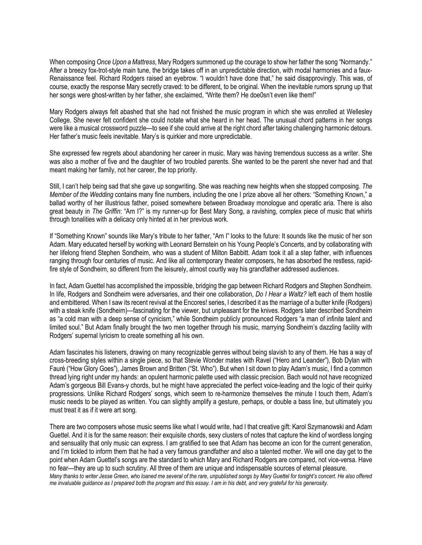When composing *Once Upon a Mattress*, Mary Rodgers summoned up the courage to show her father the song "Normandy." After a breezy fox-trot-style main tune, the bridge takes off in an unpredictable direction, with modal harmonies and a faux-Renaissance feel. Richard Rodgers raised an eyebrow. "I wouldn't have done that," he said disapprovingly. This was, of course, exactly the response Mary secretly craved: to be different, to be original. When the inevitable rumors sprung up that her songs were ghost-written by her father, she exclaimed, "Write them? He doe0sn't even like them!"

Mary Rodgers always felt abashed that she had not finished the music program in which she was enrolled at Wellesley College. She never felt confident she could notate what she heard in her head. The unusual chord patterns in her songs were like a musical crossword puzzle—to see if she could arrive at the right chord after taking challenging harmonic detours. Her father's music feels inevitable. Mary's is quirkier and more unpredictable.

She expressed few regrets about abandoning her career in music. Mary was having tremendous success as a writer. She was also a mother of five and the daughter of two troubled parents. She wanted to be the parent she never had and that meant making her family, not her career, the top priority.

Still, I can't help being sad that she gave up songwriting. She was reaching new heights when she stopped composing. *The Member of the Wedding* contains many fine numbers, including the one I prize above all her others: "Something Known," a ballad worthy of her illustrious father, poised somewhere between Broadway monologue and operatic aria. There is also great beauty in *The Griffin*: "Am I?" is my runner-up for Best Mary Song, a ravishing, complex piece of music that whirls through tonalities with a delicacy only hinted at in her previous work.

If "Something Known" sounds like Mary's tribute to her father, "Am I" looks to the future: It sounds like the music of her son Adam. Mary educated herself by working with Leonard Bernstein on his Young People's Concerts, and by collaborating with her lifelong friend Stephen Sondheim, who was a student of Milton Babbitt. Adam took it all a step father, with influences ranging through four centuries of music. And like all contemporary theater composers, he has absorbed the restless, rapidfire style of Sondheim, so different from the leisurely, almost courtly way his grandfather addressed audiences.

In fact, Adam Guettel has accomplished the impossible, bridging the gap between Richard Rodgers and Stephen Sondheim. In life, Rodgers and Sondheim were adversaries, and their one collaboration, *Do I Hear a Waltz?* left each of them hostile and embittered. When I saw its recent revival at the Encores! series, I described it as the marriage of a butter knife (Rodgers) with a steak knife (Sondheim)—fascinating for the viewer, but unpleasant for the knives. Rodgers later described Sondheim as "a cold man with a deep sense of cynicism," while Sondheim publicly pronounced Rodgers "a man of infinite talent and limited soul." But Adam finally brought the two men together through his music, marrying Sondheim's dazzling facility with Rodgers' supernal lyricism to create something all his own.

Adam fascinates his listeners, drawing on many recognizable genres without being slavish to any of them. He has a way of cross-breeding styles within a single piece, so that Stevie Wonder mates with Ravel ("Hero and Leander"), Bob Dylan with Fauré ("How Glory Goes"), James Brown and Britten ("St. Who"). But when I sit down to play Adam's music, I find a common thread lying right under my hands: an opulent harmonic palette used with classic precision. Bach would not have recognized Adam's gorgeous Bill Evans-y chords, but he might have appreciated the perfect voice-leading and the logic of their quirky progressions. Unlike Richard Rodgers' songs, which seem to re-harmonize themselves the minute I touch them, Adam's music needs to be played as written. You can slightly amplify a gesture, perhaps, or double a bass line, but ultimately you must treat it as if it were art song.

There are two composers whose music seems like what I would write, had I that creative gift: Karol Szymanowski and Adam Guettel. And it is for the same reason: their exquisite chords, sexy clusters of notes that capture the kind of wordless longing and sensuality that only music can express. I am gratified to see that Adam has become an icon for the current generation, and I'm tickled to inform them that he had a very famous grandfather and also a talented mother. We will one day get to the point when Adam Guettel's songs are the standard to which Mary and Richard Rodgers are compared, not vice-versa. Have no fear—they are up to such scrutiny. All three of them are unique and indispensable sources of eternal pleasure. *Many thanks to writer Jesse Green, who loaned me several of the rare, unpublished songs by Mary Guettel for tonight's concert. He also offered me invaluable guidance as I prepared both the program and this essay. I am in his debt, and very grateful for his generosity.*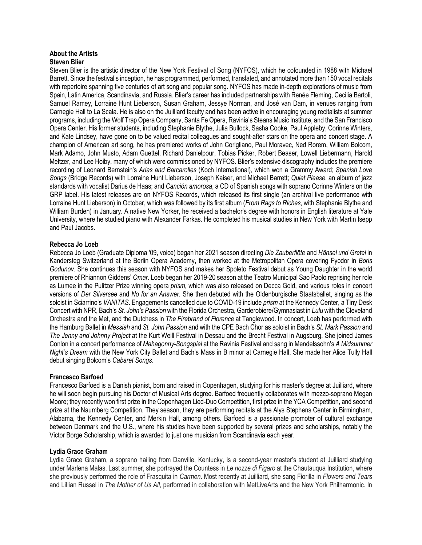#### **About the Artists Steven Blier**

Steven Blier is the artistic director of the New York Festival of Song (NYFOS), which he cofounded in 1988 with Michael Barrett. Since the festival's inception, he has programmed, performed, translated, and annotated more than 150 vocal recitals with repertoire spanning five centuries of art song and popular song. NYFOS has made in-depth explorations of music from Spain, Latin America, Scandinavia, and Russia. Blier's career has included partnerships with Renée Fleming, Cecilia Bartoli, Samuel Ramey, Lorraine Hunt Lieberson, Susan Graham, Jessye Norman, and José van Dam, in venues ranging from Carnegie Hall to La Scala. He is also on the Juilliard faculty and has been active in encouraging young recitalists at summer programs, including the Wolf Trap Opera Company, Santa Fe Opera, Ravinia's Steans Music Institute, and the San Francisco Opera Center. His former students, including Stephanie Blythe, Julia Bullock, Sasha Cooke, Paul Appleby, Corinne Winters, and Kate Lindsey, have gone on to be valued recital colleagues and sought-after stars on the opera and concert stage. A champion of American art song, he has premiered works of John Corigliano, Paul Moravec, Ned Rorem, William Bolcom, Mark Adamo, John Musto, Adam Guettel, Richard Danielpour, Tobias Picker, Robert Beaser, Lowell Liebermann, Harold Meltzer, and Lee Hoiby, many of which were commissioned by NYFOS. Blier's extensive discography includes the premiere recording of Leonard Bernstein's *Arias and Barcarolles* (Koch International), which won a Grammy Award; *Spanish Love Songs* (Bridge Records) with Lorraine Hunt Lieberson, Joseph Kaiser, and Michael Barrett; *Quiet Please*, an album of jazz standards with vocalist Darius de Haas; and *Canción amorosa*, a CD of Spanish songs with soprano Corinne Winters on the GRP label. His latest releases are on NYFOS Records, which released its first single (an archival live performance with Lorraine Hunt Lieberson) in October, which was followed by its first album (*From Rags to Riches*, with Stephanie Blythe and William Burden) in January. A native New Yorker, he received a bachelor's degree with honors in English literature at Yale University, where he studied piano with Alexander Farkas. He completed his musical studies in New York with Martin Isepp and Paul Jacobs.

## **Rebecca Jo Loeb**

Rebecca Jo Loeb (Graduate Diploma '09, voice) began her 2021 season directing *Die Zauberflöte* and *Hänsel und Gretel* in Kandersteg Switzerland at the Berlin Opera Academy, then worked at the Metropolitan Opera covering Fyodor in *Boris Godunov.* She continues this season with NYFOS and makes her Spoleto Festival debut as Young Daughter in the world premiere of Rhiannon Giddens' *Omar.* Loeb began her 2019-20 season at the Teatro Municipal Sao Paolo reprising her role as Lumee in the Pulitzer Prize winning opera *prism,* which was also released on Decca Gold, and various roles in concert versions of *Der Silversee* and *No for an Answer*. She then debuted with the Oldenburgische Staatsballet, singing as the soloist in Sciarrino's *VANITAS*. Engagements cancelled due to COVID-19 include *prism* at the Kennedy Center, a Tiny Desk Concert with NPR, Bach's *St. John's Passion* with the Florida Orchestra, Garderobiere/Gymnasiast in *Lulu* with the Cleveland Orchestra and the Met, and the Dutchess in *The Firebrand of Florence* at Tanglewood. In concert, Loeb has performed with the Hamburg Ballet in *Messiah* and *St. John Passion* and with the CPE Bach Chor as soloist in Bach's *St. Mark Passion* and *The Jenny and Johnny Project* at the Kurt Weill Festival in Dessau and the Brecht Festival in Augsburg. She joined James Conlon in a concert performance of *Mahagonny-Songspiel* at the Ravinia Festival and sang in Mendelssohn's *A Midsummer Night's Dream* with the New York City Ballet and Bach's Mass in B minor at Carnegie Hall. She made her Alice Tully Hall debut singing Bolcom's *Cabaret Songs*.

## **Francesco Barfoed**

Francesco Barfoed is a Danish pianist, born and raised in Copenhagen, studying for his master's degree at Juilliard, where he will soon begin pursuing his Doctor of Musical Arts degree. Barfoed frequently collaborates with mezzo-soprano Megan Moore; they recently won first prize in the Copenhagen Lied-Duo Competition, first prize in the YCA Competition, and second prize at the Naumberg Competition. They season, they are performing recitals at the Alys Stephens Center in Birmingham, Alabama, the Kennedy Center, and Merkin Hall, among others. Barfoed is a passionate promoter of cultural exchange between Denmark and the U.S., where his studies have been supported by several prizes and scholarships, notably the Victor Borge Scholarship, which is awarded to just one musician from Scandinavia each year.

## **Lydia Grace Graham**

Lydia Grace Graham, a soprano hailing from Danville, Kentucky, is a second-year master's student at Juilliard studying under Marlena Malas. Last summer, she portrayed the Countess in *Le nozze di Figaro* at the Chautauqua Institution, where she previously performed the role of Frasquita in *Carmen*. Most recently at Juilliard, she sang Fiorilla in *Flowers and Tears* and Lillian Russel in *The Mother of Us All*, performed in collaboration with MetLiveArts and the New York Philharmonic. In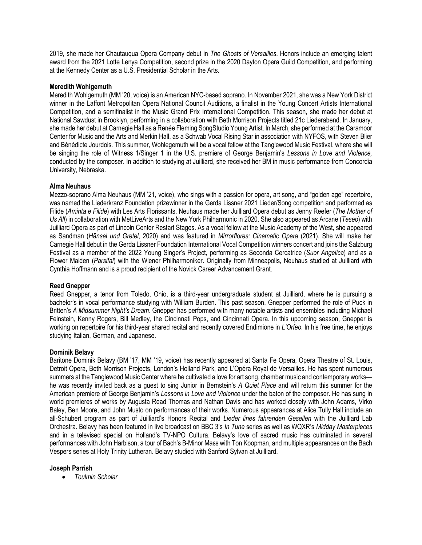2019, she made her Chautauqua Opera Company debut in *The Ghosts of Versailles*. Honors include an emerging talent award from the 2021 Lotte Lenya Competition, second prize in the 2020 Dayton Opera Guild Competition, and performing at the Kennedy Center as a U.S. Presidential Scholar in the Arts.

### **Meredith Wohlgemuth**

Meredith Wohlgemuth (MM '20, voice) is an American NYC-based soprano. In November 2021, she was a New York District winner in the Laffont Metropolitan Opera National Council Auditions, a finalist in the Young Concert Artists International Competition, and a semifinalist in the Music Grand Prix International Competition. This season, she made her debut at National Sawdust in Brooklyn, performing in a collaboration with Beth Morrison Projects titled 21c Liederabend. In January, she made her debut at Carnegie Hall as a Renée Fleming SongStudio Young Artist. In March, she performed at the Caramoor Center for Music and the Arts and Merkin Hall, as a Schwab Vocal Rising Star in association with NYFOS, with Steven Blier and Bénédicte Jourdois. This summer, Wohlegemuth will be a vocal fellow at the Tanglewood Music Festival, where she will be singing the role of Witness 1/Singer 1 in the U.S. premiere of George Benjamin's *Lessons in Love and Violence,*  conducted by the composer. In addition to studying at Juilliard, she received her BM in music performance from Concordia University, Nebraska.

### **Alma Neuhaus**

Mezzo-soprano Alma Neuhaus (MM '21, voice), who sings with a passion for opera, art song, and "golden age" repertoire, was named the Liederkranz Foundation prizewinner in the Gerda Lissner 2021 Lieder/Song competition and performed as Filide (*Aminta e Filide*) with Les Arts Florissants. Neuhaus made her Juilliard Opera debut as Jenny Reefer (*The Mother of Us All*) in collaboration with MetLiveArts and the New York Philharmonic in 2020. She also appeared as Arcane (*Teseo*) with Juilliard Opera as part of Lincoln Center Restart Stages. As a vocal fellow at the Music Academy of the West, she appeared as Sandman (*Hänsel und Gretel*, 2020) and was featured in *Mirrorflores: Cinematic Opera* (2021). She will make her Carnegie Hall debut in the Gerda Lissner Foundation International Vocal Competition winners concert and joins the Salzburg Festival as a member of the 2022 Young Singer's Project, performing as Seconda Cercatrice (*Suor Angelica*) and as a Flower Maiden (*Parsifal*) with the Wiener Philharmoniker. Originally from Minneapolis, Neuhaus studied at Juilliard with Cynthia Hoffmann and is a proud recipient of the Novick Career Advancement Grant.

### **Reed Gnepper**

Reed Gnepper, a tenor from Toledo, Ohio, is a third-year undergraduate student at Juilliard, where he is pursuing a bachelor's in vocal performance studying with William Burden. This past season, Gnepper performed the role of Puck in Britten's *A Midsummer Night's Dream*. Gnepper has performed with many notable artists and ensembles including Michael Feinstein, Kenny Rogers, Bill Medley, the Cincinnati Pops, and Cincinnati Opera. In this upcoming season, Gnepper is working on repertoire for his third-year shared recital and recently covered Endimione in *L'Orfeo*. In his free time, he enjoys studying Italian, German, and Japanese.

### **Dominik Belavy**

Baritone Dominik Belavy (BM '17, MM '19, voice) has recently appeared at Santa Fe Opera, Opera Theatre of St. Louis, Detroit Opera, Beth Morrison Projects, London's Holland Park, and L'Opéra Royal de Versailles. He has spent numerous summers at the Tanglewood Music Center where he cultivated a love for art song, chamber music and contemporary works he was recently invited back as a guest to sing Junior in Bernstein's *A Quiet Place* and will return this summer for the American premiere of George Benjamin's *Lessons in Love and Violence* under the baton of the composer. He has sung in world premieres of works by Augusta Read Thomas and Nathan Davis and has worked closely with John Adams, Virko Baley, Ben Moore, and John Musto on performances of their works. Numerous appearances at Alice Tully Hall include an all-Schubert program as part of Juilliard's Honors Recital and *Lieder lines fahrenden Gesellen* with the Juilliard Lab Orchestra. Belavy has been featured in live broadcast on BBC 3's *In Tune* series as well as WQXR's *Midday Masterpieces* and in a televised special on Holland's TV-NPO Cultura. Belavy's love of sacred music has culminated in several performances with John Harbison, a tour of Bach's B-Minor Mass with Ton Koopman, and multiple appearances on the Bach Vespers series at Holy Trinity Lutheran. Belavy studied with Sanford Sylvan at Juilliard.

### **Joseph Parrish**

• *Toulmin Scholar*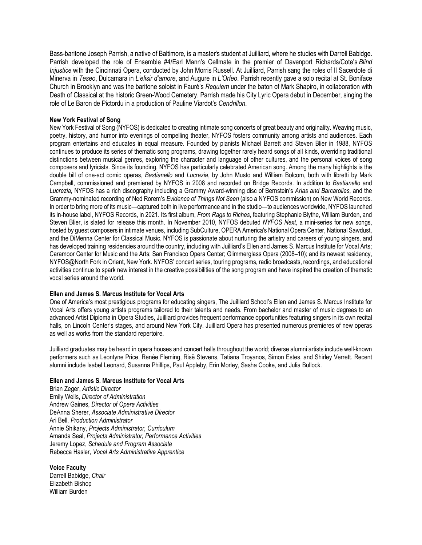Bass-baritone Joseph Parrish, a native of Baltimore, is a master's student at Juilliard, where he studies with Darrell Babidge. Parrish developed the role of Ensemble #4/Earl Mann's Cellmate in the premier of Davenport Richards/Cote's *Blind Injustice* with the Cincinnati Opera, conducted by John Morris Russell. At Juilliard, Parrish sang the roles of Il Sacerdote di Minerva in *Teseo*, Dulcamara in *L'elisir d'amore*, and Augure in *L'Orfeo*. Parrish recently gave a solo recital at St. Boniface Church in Brooklyn and was the baritone soloist in Fauré's *Requiem* under the baton of Mark Shapiro, in collaboration with Death of Classical at the historic Green-Wood Cemetery. Parrish made his City Lyric Opera debut in December, singing the role of Le Baron de Pictordu in a production of Pauline Viardot's *Cendrillon*.

### **New York Festival of Song**

New York Festival of Song (NYFOS) is dedicated to creating intimate song concerts of great beauty and originality. Weaving music, poetry, history, and humor into evenings of compelling theater, NYFOS fosters community among artists and audiences. Each program entertains and educates in equal measure. Founded by pianists Michael Barrett and Steven Blier in 1988, NYFOS continues to produce its series of thematic song programs, drawing together rarely heard songs of all kinds, overriding traditional distinctions between musical genres, exploring the character and language of other cultures, and the personal voices of song composers and lyricists. Since its founding, NYFOS has particularly celebrated American song. Among the many highlights is the double bill of one-act comic operas, *Bastianello* and *Lucrezia*, by John Musto and William Bolcom, both with libretti by Mark Campbell, commissioned and premiered by NYFOS in 2008 and recorded on Bridge Records. In addition to *Bastianello* and *Lucrezia,* NYFOS has a rich discography including a Grammy Award-winning disc of Bernstein's *Arias and Barcarolles*, and the Grammy-nominated recording of Ned Rorem's *Evidence of Things Not Seen* (also a NYFOS commission) on New World Records. In order to bring more of its music—captured both in live performance and in the studio—to audiences worldwide, NYFOS launched its in-house label, NYFOS Records, in 2021. Its first album, *From Rags to Riches*, featuring Stephanie Blythe, William Burden, and Steven Blier, is slated for release this month. In November 2010, NYFOS debuted *NYFOS Next*, a mini-series for new songs, hosted by guest composers in intimate venues, including SubCulture, OPERA America's National Opera Center, National Sawdust, and the DiMenna Center for Classical Music. NYFOS is passionate about nurturing the artistry and careers of young singers, and has developed training residencies around the country, including with Juilliard's Ellen and James S. Marcus Institute for Vocal Arts; Caramoor Center for Music and the Arts; San Francisco Opera Center; Glimmerglass Opera (2008–10); and its newest residency, NYFOS@North Fork in Orient, New York. NYFOS' concert series, touring programs, radio broadcasts, recordings, and educational activities continue to spark new interest in the creative possibilities of the song program and have inspired the creation of thematic vocal series around the world.

### **Ellen and James S. Marcus Institute for Vocal Arts**

One of America's most prestigious programs for educating singers, The Juilliard School's Ellen and James S. Marcus Institute for Vocal Arts offers young artists programs tailored to their talents and needs. From bachelor and master of music degrees to an advanced Artist Diploma in Opera Studies, Juilliard provides frequent performance opportunities featuring singers in its own recital halls, on Lincoln Center's stages, and around New York City. Juilliard Opera has presented numerous premieres of new operas as well as works from the standard repertoire.

Juilliard graduates may be heard in opera houses and concert halls throughout the world; diverse alumni artists include well-known performers such as Leontyne Price, Renée Fleming, Risë Stevens, Tatiana Troyanos, Simon Estes, and Shirley Verrett. Recent alumni include Isabel Leonard, Susanna Phillips, Paul Appleby, Erin Morley, Sasha Cooke, and Julia Bullock.

#### **Ellen and James S. Marcus Institute for Vocal Arts**

Brian Zeger, *Artistic Director* Emily Wells, *Director of Administration* Andrew Gaines, *Director of Opera Activities* DeAnna Sherer, *Associate Administrative Director* Ari Bell, *Production Administrator* Annie Shikany, *Projects Administrator, Curriculum* Amanda Seal, *Projects Administrator, Performance Activities* Jeremy Lopez, *Schedule and Program Associate* Rebecca Hasler, *Vocal Arts Administrative Apprentice*

### **Voice Faculty**

Darrell Babidge, *Chair* Elizabeth Bishop William Burden